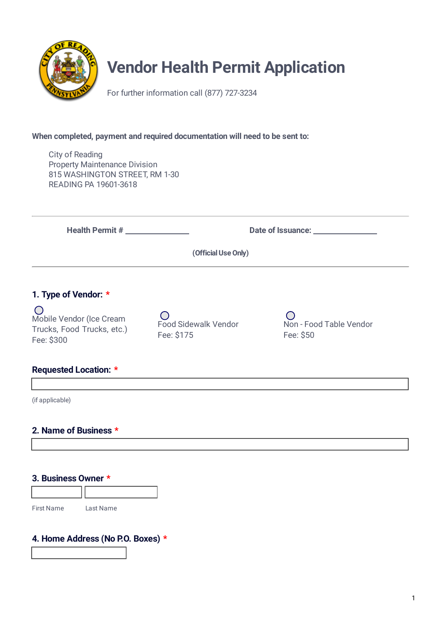

# **Vendor Health Permit Application**

For further information call (877) 727-3234

### **When completed, payment and required documentation will need to be sent to:**

City of Reading Property Maintenance Division 815 WASHINGTON STREET, RM 1-30 READING PA 19601-3618

**Health Permit # 1988 Date of Issuance: Date of Issuance: 1988** 

**(Official Use Only)**

# **1. Type of Vendor: \***

 $\bigcirc$ Mobile Vendor (Ice Cream Trucks, Food Trucks, etc.) Fee: \$300

 $\bigcap$ Food Sidewalk Vendor Fee: \$175

Non - Food Table Vendor Fee: \$50

# **Requested Location: \***

(if applicable)

# **2. Name of Business \***

#### **3. Business Owner \***

First Name Last Name

# **4. Home Address (No P.O. Boxes) \***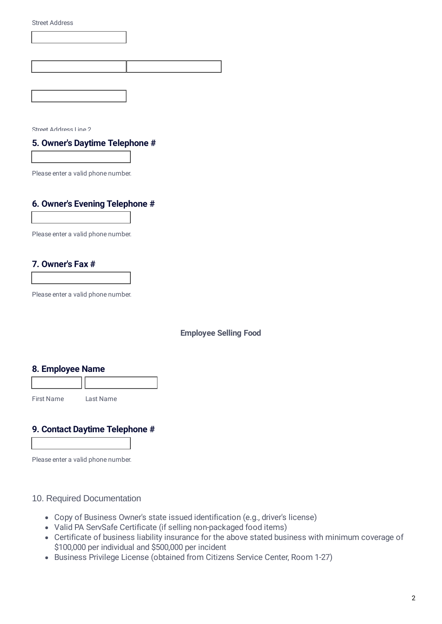Street Address Line 2

#### **5. Owner's Daytime Telephone #**

Please enter a valid phone number.

# **6. Owner's Evening Telephone #**

Please enter a valid phone number.

## **7. Owner's Fax #**

Please enter a valid phone number.

#### **Employee Selling Food**

#### **8. Employee Name**

First Name Last Name

#### **9. Contact Daytime Telephone #**

Please enter a valid phone number.

#### 10. Required Documentation

- Copy of Business Owner's state issued identification (e.g., driver's license)
- Valid PA ServSafe Certificate (if selling non-packaged food items)
- Certificate of business liability insurance for the above stated business with minimum coverage of \$100,000 per individual and \$500,000 per incident
- Business Privilege License (obtained from Citizens Service Center, Room 1-27)